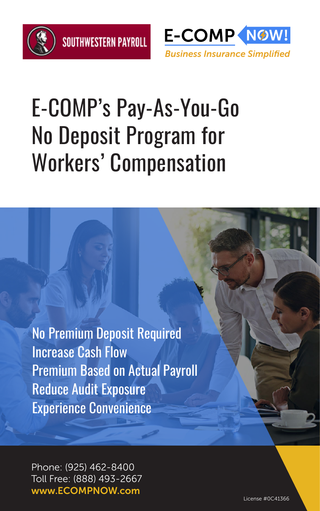



## E-COMP's Pay-As-You-Go No Deposit Program for Workers' Compensation

No Premium Deposit Required Increase Cash Flow Premium Based on Actual Payroll Reduce Audit Exposure Experience Convenience

Phone: (925) 462-8400 Toll Free: (888) 493-2667 www.ECOMPNOW.com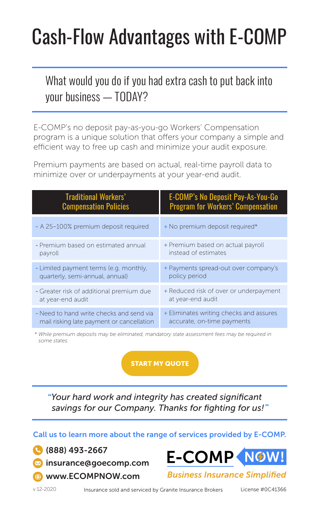## Cash-Flow Advantages with E-COMP

### What would you do if you had extra cash to put back into your business — TODAY?

E-COMP's no deposit pay-as-you-go Workers' Compensation program is a unique solution that offers your company a simple and efficient way to free up cash and minimize your audit exposure.

Premium payments are based on actual, real-time payroll data to minimize over or underpayments at your year-end audit.

| <b>Traditional Workers'</b>               | E-COMP's No Deposit Pay-As-You-Go        |
|-------------------------------------------|------------------------------------------|
| <b>Compensation Policies</b>              | <b>Program for Workers' Compensation</b> |
| - A 25-100% premium deposit required      | + No premium deposit required*           |
| - Premium based on estimated annual       | + Premium based on actual payroll        |
| payroll                                   | instead of estimates                     |
| - Limited payment terms (e.g. monthly,    | + Payments spread-out over company's     |
| quarterly, semi-annual, annual)           | policy period                            |
| - Greater risk of additional premium due  | + Reduced risk of over or underpayment   |
| at year-end audit                         | at year-end audit                        |
| - Need to hand write checks and send via  | + Eliminates writing checks and assures  |
| mail risking late payment or cancellation | accurate, on-time payments               |

*\* While premium deposits may be eliminated, mandatory state assessment fees may be required in some states.*

#### [START MY QUOTE](https://secure.goecomp.com/quote-v8/start-quote.html)

*"Your hard work and integrity has created significant savings for our Company. Thanks for fighting for us!"*

Call us to learn more about the range of services provided by E-COMP.

 (888) 493-2667 **Manual insurance**@goecomp.com [www.ECOMPNOW.com](http://www.ecompnow.com)